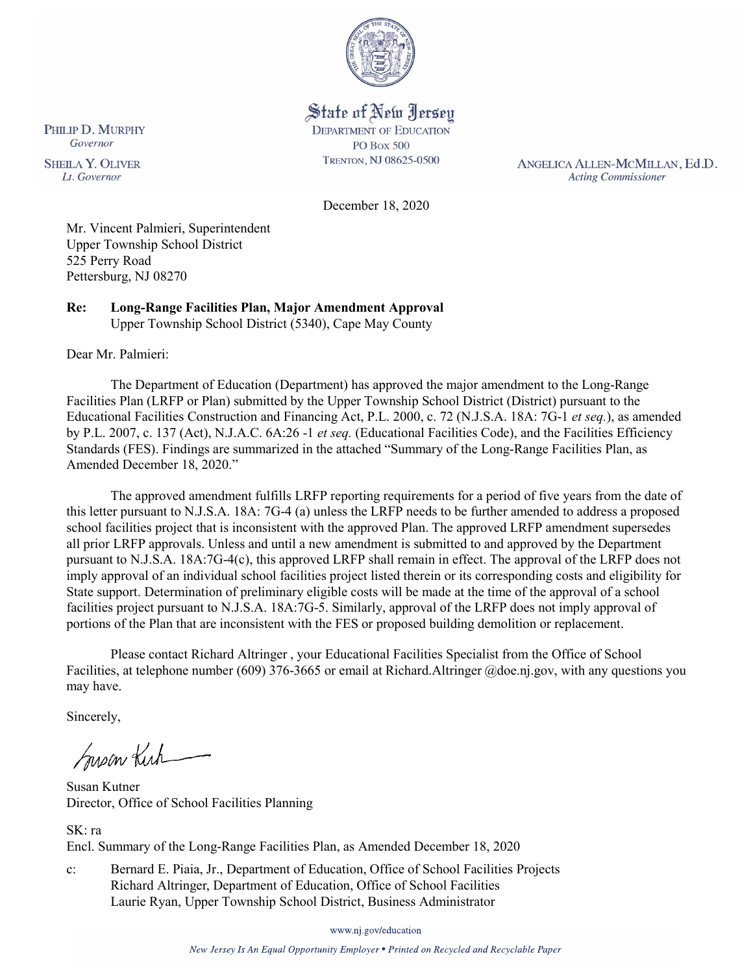

State of New Jersey **DEPARTMENT OF EDUCATION PO Box 500** TRENTON, NJ 08625-0500

ANGELICA ALLEN-MCMILLAN, Ed.D. **Acting Commissioner** 

December 18, 2020

Mr. Vincent Palmieri, Superintendent Upper Township School District 525 Perry Road Pettersburg, NJ 08270

**Re: Long-Range Facilities Plan, Major Amendment Approval**  Upper Township School District (5340), Cape May County

Dear Mr. Palmieri:

The Department of Education (Department) has approved the major amendment to the Long-Range Facilities Plan (LRFP or Plan) submitted by the Upper Township School District (District) pursuant to the Educational Facilities Construction and Financing Act, P.L. 2000, c. 72 (N.J.S.A. 18A: 7G-1 *et seq.*), as amended by P.L. 2007, c. 137 (Act), N.J.A.C. 6A:26 -1 *et seq.* (Educational Facilities Code), and the Facilities Efficiency Standards (FES). Findings are summarized in the attached "Summary of the Long-Range Facilities Plan, as Amended December 18, 2020."

The approved amendment fulfills LRFP reporting requirements for a period of five years from the date of this letter pursuant to N.J.S.A. 18A: 7G-4 (a) unless the LRFP needs to be further amended to address a proposed school facilities project that is inconsistent with the approved Plan. The approved LRFP amendment supersedes all prior LRFP approvals. Unless and until a new amendment is submitted to and approved by the Department pursuant to N.J.S.A. 18A:7G-4(c), this approved LRFP shall remain in effect. The approval of the LRFP does not imply approval of an individual school facilities project listed therein or its corresponding costs and eligibility for State support. Determination of preliminary eligible costs will be made at the time of the approval of a school facilities project pursuant to N.J.S.A. 18A:7G-5. Similarly, approval of the LRFP does not imply approval of portions of the Plan that are inconsistent with the FES or proposed building demolition or replacement.

Please contact Richard Altringer , your Educational Facilities Specialist from the Office of School Facilities, at telephone number (609) 376-3665 or email at Richard.Altringer @doe.nj.gov, with any questions you may have.

Sincerely,

Susan Kich

Susan Kutner Director, Office of School Facilities Planning

SK: ra Encl. Summary of the Long-Range Facilities Plan, as Amended December 18, 2020

c: Bernard E. Piaia, Jr., Department of Education, Office of School Facilities Projects Richard Altringer, Department of Education, Office of School Facilities Laurie Ryan, Upper Township School District, Business Administrator

www.nj.gov/education

New Jersey Is An Equal Opportunity Employer . Printed on Recycled and Recyclable Paper

PHILIP D. MURPHY Governor

**SHEILA Y. OLIVER** Lt. Governor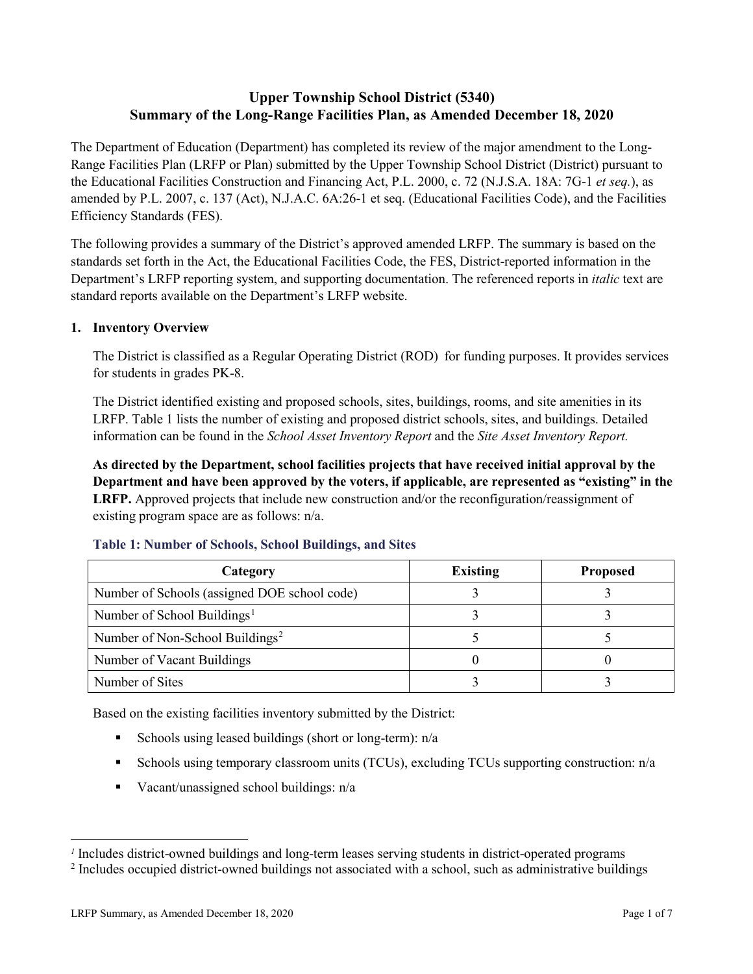# **Upper Township School District (5340) Summary of the Long-Range Facilities Plan, as Amended December 18, 2020**

The Department of Education (Department) has completed its review of the major amendment to the Long-Range Facilities Plan (LRFP or Plan) submitted by the Upper Township School District (District) pursuant to the Educational Facilities Construction and Financing Act, P.L. 2000, c. 72 (N.J.S.A. 18A: 7G-1 *et seq.*), as amended by P.L. 2007, c. 137 (Act), N.J.A.C. 6A:26-1 et seq. (Educational Facilities Code), and the Facilities Efficiency Standards (FES).

The following provides a summary of the District's approved amended LRFP. The summary is based on the standards set forth in the Act, the Educational Facilities Code, the FES, District-reported information in the Department's LRFP reporting system, and supporting documentation. The referenced reports in *italic* text are standard reports available on the Department's LRFP website.

# **1. Inventory Overview**

The District is classified as a Regular Operating District (ROD) for funding purposes. It provides services for students in grades PK-8.

The District identified existing and proposed schools, sites, buildings, rooms, and site amenities in its LRFP. Table 1 lists the number of existing and proposed district schools, sites, and buildings. Detailed information can be found in the *School Asset Inventory Report* and the *Site Asset Inventory Report.*

**As directed by the Department, school facilities projects that have received initial approval by the Department and have been approved by the voters, if applicable, are represented as "existing" in the LRFP.** Approved projects that include new construction and/or the reconfiguration/reassignment of existing program space are as follows: n/a.

| Category                                     | <b>Existing</b> | <b>Proposed</b> |
|----------------------------------------------|-----------------|-----------------|
| Number of Schools (assigned DOE school code) |                 |                 |
| Number of School Buildings <sup>1</sup>      |                 |                 |
| Number of Non-School Buildings <sup>2</sup>  |                 |                 |
| Number of Vacant Buildings                   |                 |                 |
| Number of Sites                              |                 |                 |

#### **Table 1: Number of Schools, School Buildings, and Sites**

Based on the existing facilities inventory submitted by the District:

- Schools using leased buildings (short or long-term):  $n/a$
- Schools using temporary classroom units (TCUs), excluding TCUs supporting construction: n/a
- Vacant/unassigned school buildings:  $n/a$

 $\overline{a}$ 

<span id="page-1-1"></span><span id="page-1-0"></span>*<sup>1</sup>* Includes district-owned buildings and long-term leases serving students in district-operated programs

<sup>&</sup>lt;sup>2</sup> Includes occupied district-owned buildings not associated with a school, such as administrative buildings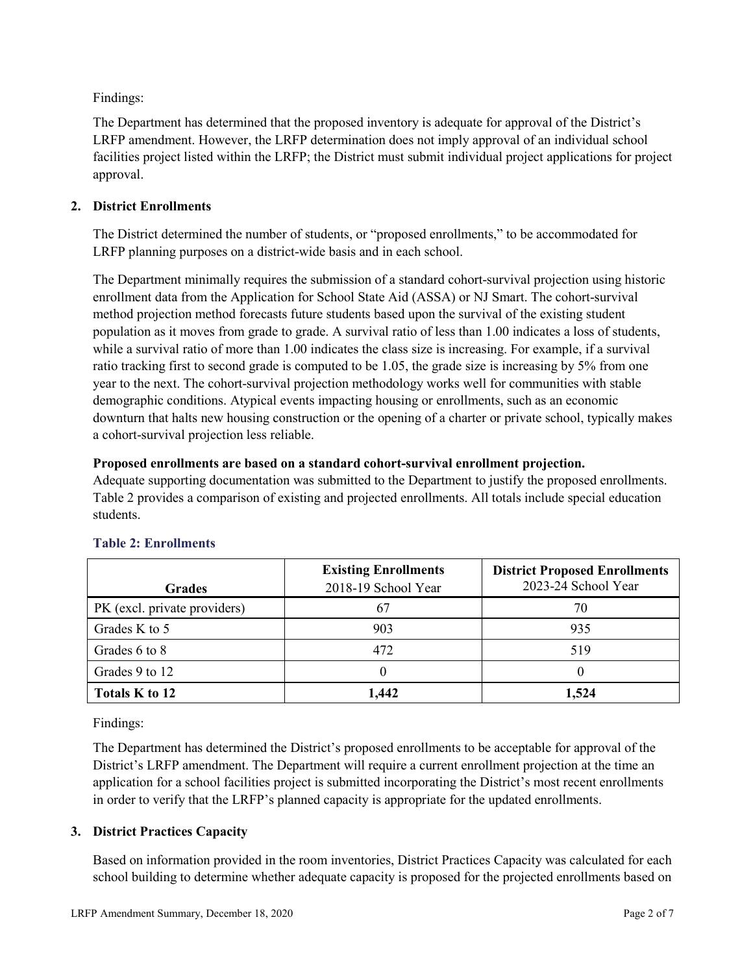Findings:

The Department has determined that the proposed inventory is adequate for approval of the District's LRFP amendment. However, the LRFP determination does not imply approval of an individual school facilities project listed within the LRFP; the District must submit individual project applications for project approval.

# **2. District Enrollments**

The District determined the number of students, or "proposed enrollments," to be accommodated for LRFP planning purposes on a district-wide basis and in each school.

The Department minimally requires the submission of a standard cohort-survival projection using historic enrollment data from the Application for School State Aid (ASSA) or NJ Smart. The cohort-survival method projection method forecasts future students based upon the survival of the existing student population as it moves from grade to grade. A survival ratio of less than 1.00 indicates a loss of students, while a survival ratio of more than 1.00 indicates the class size is increasing. For example, if a survival ratio tracking first to second grade is computed to be 1.05, the grade size is increasing by 5% from one year to the next. The cohort-survival projection methodology works well for communities with stable demographic conditions. Atypical events impacting housing or enrollments, such as an economic downturn that halts new housing construction or the opening of a charter or private school, typically makes a cohort-survival projection less reliable.

### **Proposed enrollments are based on a standard cohort-survival enrollment projection.**

Adequate supporting documentation was submitted to the Department to justify the proposed enrollments. Table 2 provides a comparison of existing and projected enrollments. All totals include special education students.

|                              | <b>Existing Enrollments</b> | <b>District Proposed Enrollments</b> |
|------------------------------|-----------------------------|--------------------------------------|
| <b>Grades</b>                | 2018-19 School Year         | 2023-24 School Year                  |
| PK (excl. private providers) | -67                         | 70                                   |
| Grades K to 5                | 903                         | 935                                  |
| Grades 6 to 8                | 472                         | 519                                  |
| Grades 9 to 12               |                             |                                      |
| Totals K to 12               | 1,442                       | 1,524                                |

# **Table 2: Enrollments**

Findings:

The Department has determined the District's proposed enrollments to be acceptable for approval of the District's LRFP amendment. The Department will require a current enrollment projection at the time an application for a school facilities project is submitted incorporating the District's most recent enrollments in order to verify that the LRFP's planned capacity is appropriate for the updated enrollments.

# **3. District Practices Capacity**

Based on information provided in the room inventories, District Practices Capacity was calculated for each school building to determine whether adequate capacity is proposed for the projected enrollments based on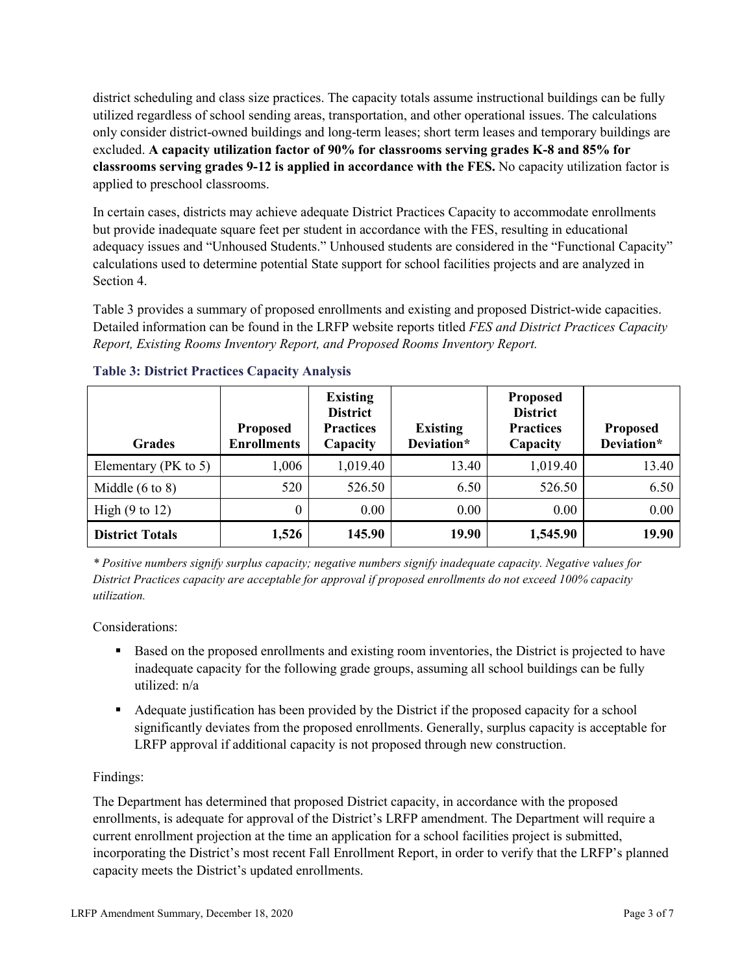district scheduling and class size practices. The capacity totals assume instructional buildings can be fully utilized regardless of school sending areas, transportation, and other operational issues. The calculations only consider district-owned buildings and long-term leases; short term leases and temporary buildings are excluded. **A capacity utilization factor of 90% for classrooms serving grades K-8 and 85% for classrooms serving grades 9-12 is applied in accordance with the FES.** No capacity utilization factor is applied to preschool classrooms.

In certain cases, districts may achieve adequate District Practices Capacity to accommodate enrollments but provide inadequate square feet per student in accordance with the FES, resulting in educational adequacy issues and "Unhoused Students." Unhoused students are considered in the "Functional Capacity" calculations used to determine potential State support for school facilities projects and are analyzed in Section 4.

Table 3 provides a summary of proposed enrollments and existing and proposed District-wide capacities. Detailed information can be found in the LRFP website reports titled *FES and District Practices Capacity Report, Existing Rooms Inventory Report, and Proposed Rooms Inventory Report.*

| <b>Grades</b>              | <b>Proposed</b><br><b>Enrollments</b> | <b>Existing</b><br><b>District</b><br><b>Practices</b><br>Capacity | <b>Existing</b><br>Deviation* | <b>Proposed</b><br><b>District</b><br><b>Practices</b><br>Capacity | <b>Proposed</b><br>Deviation* |
|----------------------------|---------------------------------------|--------------------------------------------------------------------|-------------------------------|--------------------------------------------------------------------|-------------------------------|
| Elementary ( $PK$ to 5)    | 1,006                                 | 1,019.40                                                           | 13.40                         | 1,019.40                                                           | 13.40                         |
| Middle $(6 \text{ to } 8)$ | 520                                   | 526.50                                                             | 6.50                          | 526.50                                                             | 6.50                          |
| High $(9 \text{ to } 12)$  | 0                                     | 0.00                                                               | 0.00                          | 0.00                                                               | 0.00                          |
| <b>District Totals</b>     | 1,526                                 | 145.90                                                             | 19.90                         | 1,545.90                                                           | 19.90                         |

# **Table 3: District Practices Capacity Analysis**

*\* Positive numbers signify surplus capacity; negative numbers signify inadequate capacity. Negative values for District Practices capacity are acceptable for approval if proposed enrollments do not exceed 100% capacity utilization.*

Considerations:

- Based on the proposed enrollments and existing room inventories, the District is projected to have inadequate capacity for the following grade groups, assuming all school buildings can be fully utilized: n/a
- Adequate justification has been provided by the District if the proposed capacity for a school significantly deviates from the proposed enrollments. Generally, surplus capacity is acceptable for LRFP approval if additional capacity is not proposed through new construction.

# Findings:

The Department has determined that proposed District capacity, in accordance with the proposed enrollments, is adequate for approval of the District's LRFP amendment. The Department will require a current enrollment projection at the time an application for a school facilities project is submitted, incorporating the District's most recent Fall Enrollment Report, in order to verify that the LRFP's planned capacity meets the District's updated enrollments.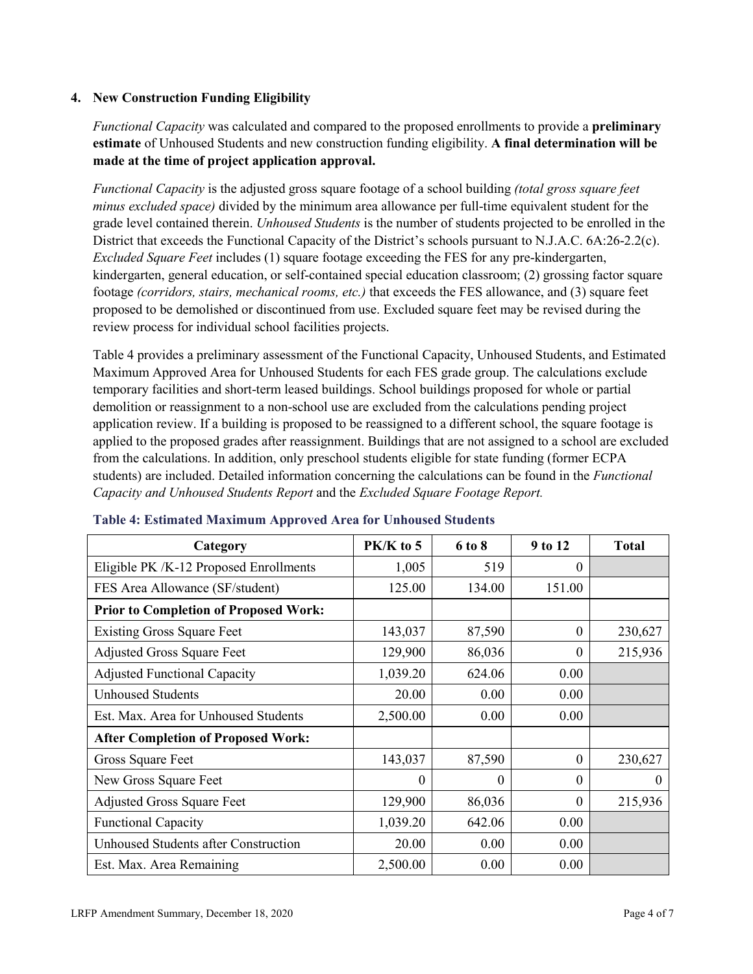### **4. New Construction Funding Eligibility**

*Functional Capacity* was calculated and compared to the proposed enrollments to provide a **preliminary estimate** of Unhoused Students and new construction funding eligibility. **A final determination will be made at the time of project application approval.**

*Functional Capacity* is the adjusted gross square footage of a school building *(total gross square feet minus excluded space)* divided by the minimum area allowance per full-time equivalent student for the grade level contained therein. *Unhoused Students* is the number of students projected to be enrolled in the District that exceeds the Functional Capacity of the District's schools pursuant to N.J.A.C. 6A:26-2.2(c). *Excluded Square Feet* includes (1) square footage exceeding the FES for any pre-kindergarten, kindergarten, general education, or self-contained special education classroom; (2) grossing factor square footage *(corridors, stairs, mechanical rooms, etc.)* that exceeds the FES allowance, and (3) square feet proposed to be demolished or discontinued from use. Excluded square feet may be revised during the review process for individual school facilities projects.

Table 4 provides a preliminary assessment of the Functional Capacity, Unhoused Students, and Estimated Maximum Approved Area for Unhoused Students for each FES grade group. The calculations exclude temporary facilities and short-term leased buildings. School buildings proposed for whole or partial demolition or reassignment to a non-school use are excluded from the calculations pending project application review. If a building is proposed to be reassigned to a different school, the square footage is applied to the proposed grades after reassignment. Buildings that are not assigned to a school are excluded from the calculations. In addition, only preschool students eligible for state funding (former ECPA students) are included. Detailed information concerning the calculations can be found in the *Functional Capacity and Unhoused Students Report* and the *Excluded Square Footage Report.*

| Category                                     | $PK/K$ to 5 | 6 to 8   | 9 to 12  | <b>Total</b> |
|----------------------------------------------|-------------|----------|----------|--------------|
| Eligible PK /K-12 Proposed Enrollments       | 1,005       | 519      | 0        |              |
| FES Area Allowance (SF/student)              | 125.00      | 134.00   | 151.00   |              |
| <b>Prior to Completion of Proposed Work:</b> |             |          |          |              |
| <b>Existing Gross Square Feet</b>            | 143,037     | 87,590   | 0        | 230,627      |
| <b>Adjusted Gross Square Feet</b>            | 129,900     | 86,036   | 0        | 215,936      |
| <b>Adjusted Functional Capacity</b>          | 1,039.20    | 624.06   | 0.00     |              |
| <b>Unhoused Students</b>                     | 20.00       | 0.00     | 0.00     |              |
| Est. Max. Area for Unhoused Students         | 2,500.00    | 0.00     | 0.00     |              |
| <b>After Completion of Proposed Work:</b>    |             |          |          |              |
| Gross Square Feet                            | 143,037     | 87,590   | $\theta$ | 230,627      |
| New Gross Square Feet                        | $\theta$    | $\Omega$ | $\Omega$ | $\theta$     |
| <b>Adjusted Gross Square Feet</b>            | 129,900     | 86,036   | $\theta$ | 215,936      |
| <b>Functional Capacity</b>                   | 1,039.20    | 642.06   | 0.00     |              |
| <b>Unhoused Students after Construction</b>  | 20.00       | 0.00     | 0.00     |              |
| Est. Max. Area Remaining                     | 2,500.00    | 0.00     | 0.00     |              |

#### **Table 4: Estimated Maximum Approved Area for Unhoused Students**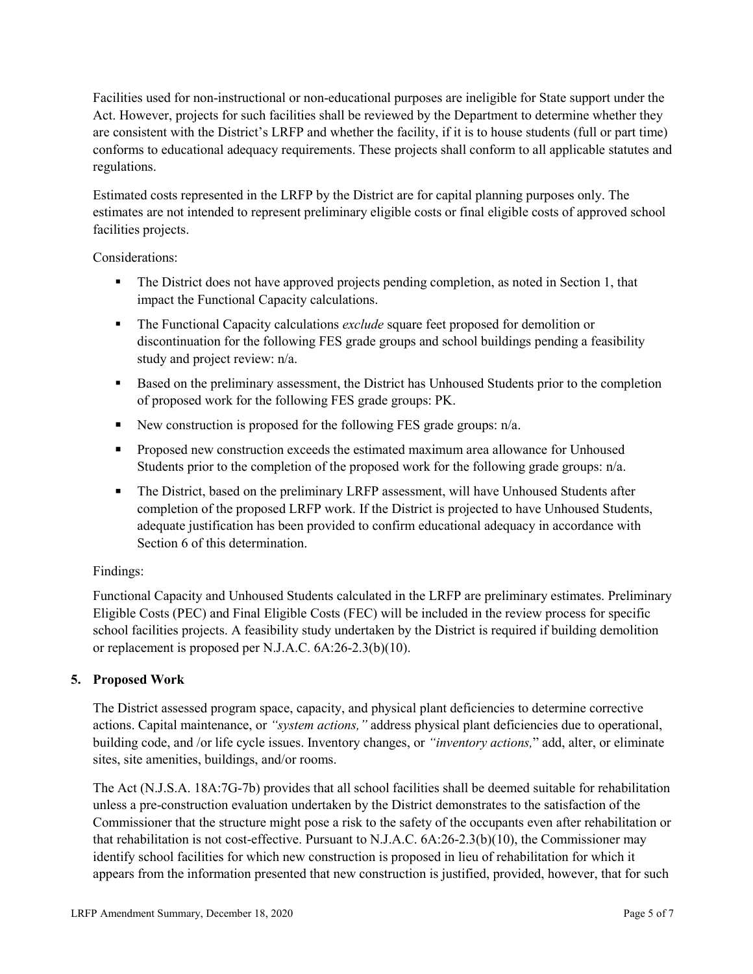Facilities used for non-instructional or non-educational purposes are ineligible for State support under the Act. However, projects for such facilities shall be reviewed by the Department to determine whether they are consistent with the District's LRFP and whether the facility, if it is to house students (full or part time) conforms to educational adequacy requirements. These projects shall conform to all applicable statutes and regulations.

Estimated costs represented in the LRFP by the District are for capital planning purposes only. The estimates are not intended to represent preliminary eligible costs or final eligible costs of approved school facilities projects.

Considerations:

- The District does not have approved projects pending completion, as noted in Section 1, that impact the Functional Capacity calculations.
- **The Functional Capacity calculations** *exclude* square feet proposed for demolition or discontinuation for the following FES grade groups and school buildings pending a feasibility study and project review: n/a.
- Based on the preliminary assessment, the District has Unhoused Students prior to the completion of proposed work for the following FES grade groups: PK.
- New construction is proposed for the following FES grade groups: n/a.
- Proposed new construction exceeds the estimated maximum area allowance for Unhoused Students prior to the completion of the proposed work for the following grade groups: n/a.
- The District, based on the preliminary LRFP assessment, will have Unhoused Students after completion of the proposed LRFP work. If the District is projected to have Unhoused Students, adequate justification has been provided to confirm educational adequacy in accordance with Section 6 of this determination.

# Findings:

Functional Capacity and Unhoused Students calculated in the LRFP are preliminary estimates. Preliminary Eligible Costs (PEC) and Final Eligible Costs (FEC) will be included in the review process for specific school facilities projects. A feasibility study undertaken by the District is required if building demolition or replacement is proposed per N.J.A.C. 6A:26-2.3(b)(10).

# **5. Proposed Work**

The District assessed program space, capacity, and physical plant deficiencies to determine corrective actions. Capital maintenance, or *"system actions,"* address physical plant deficiencies due to operational, building code, and /or life cycle issues. Inventory changes, or *"inventory actions,*" add, alter, or eliminate sites, site amenities, buildings, and/or rooms.

The Act (N.J.S.A. 18A:7G-7b) provides that all school facilities shall be deemed suitable for rehabilitation unless a pre-construction evaluation undertaken by the District demonstrates to the satisfaction of the Commissioner that the structure might pose a risk to the safety of the occupants even after rehabilitation or that rehabilitation is not cost-effective. Pursuant to N.J.A.C. 6A:26-2.3(b)(10), the Commissioner may identify school facilities for which new construction is proposed in lieu of rehabilitation for which it appears from the information presented that new construction is justified, provided, however, that for such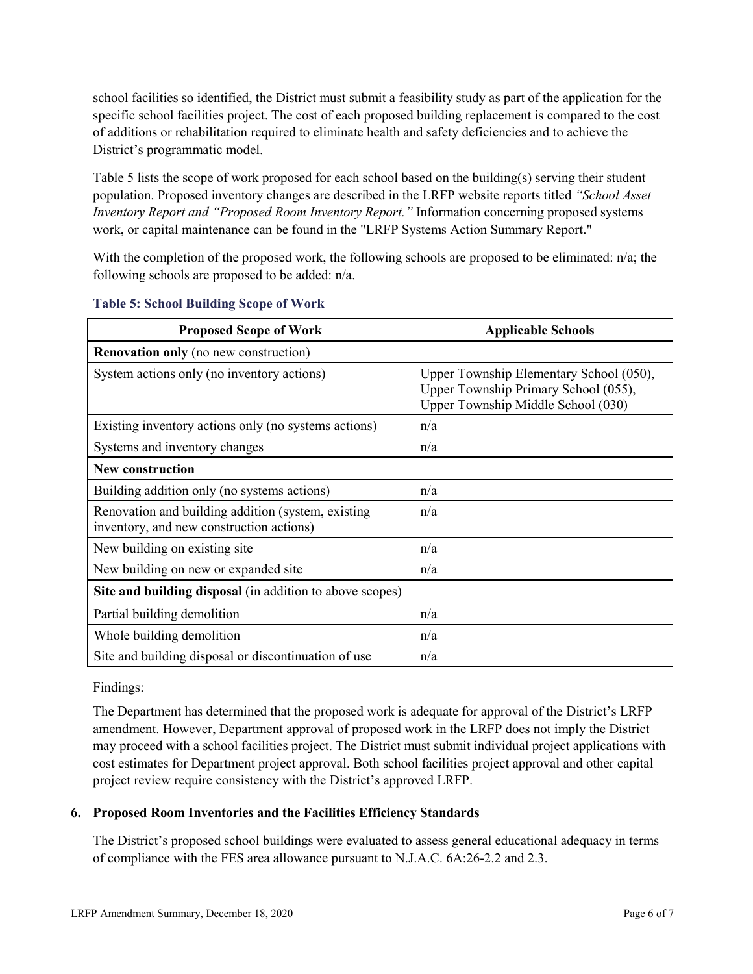school facilities so identified, the District must submit a feasibility study as part of the application for the specific school facilities project. The cost of each proposed building replacement is compared to the cost of additions or rehabilitation required to eliminate health and safety deficiencies and to achieve the District's programmatic model.

Table 5 lists the scope of work proposed for each school based on the building(s) serving their student population. Proposed inventory changes are described in the LRFP website reports titled *"School Asset Inventory Report and "Proposed Room Inventory Report."* Information concerning proposed systems work, or capital maintenance can be found in the "LRFP Systems Action Summary Report."

With the completion of the proposed work, the following schools are proposed to be eliminated: n/a; the following schools are proposed to be added: n/a.

| <b>Proposed Scope of Work</b>                                                                  | <b>Applicable Schools</b>                                                                                             |
|------------------------------------------------------------------------------------------------|-----------------------------------------------------------------------------------------------------------------------|
| <b>Renovation only</b> (no new construction)                                                   |                                                                                                                       |
| System actions only (no inventory actions)                                                     | Upper Township Elementary School (050),<br>Upper Township Primary School (055),<br>Upper Township Middle School (030) |
| Existing inventory actions only (no systems actions)                                           | n/a                                                                                                                   |
| Systems and inventory changes                                                                  | n/a                                                                                                                   |
| <b>New construction</b>                                                                        |                                                                                                                       |
| Building addition only (no systems actions)                                                    | n/a                                                                                                                   |
| Renovation and building addition (system, existing<br>inventory, and new construction actions) | n/a                                                                                                                   |
| New building on existing site                                                                  | n/a                                                                                                                   |
| New building on new or expanded site                                                           | n/a                                                                                                                   |
| Site and building disposal (in addition to above scopes)                                       |                                                                                                                       |
| Partial building demolition                                                                    | n/a                                                                                                                   |
| Whole building demolition                                                                      | n/a                                                                                                                   |
| Site and building disposal or discontinuation of use                                           | n/a                                                                                                                   |

### **Table 5: School Building Scope of Work**

Findings:

The Department has determined that the proposed work is adequate for approval of the District's LRFP amendment. However, Department approval of proposed work in the LRFP does not imply the District may proceed with a school facilities project. The District must submit individual project applications with cost estimates for Department project approval. Both school facilities project approval and other capital project review require consistency with the District's approved LRFP.

# **6. Proposed Room Inventories and the Facilities Efficiency Standards**

The District's proposed school buildings were evaluated to assess general educational adequacy in terms of compliance with the FES area allowance pursuant to N.J.A.C. 6A:26-2.2 and 2.3.